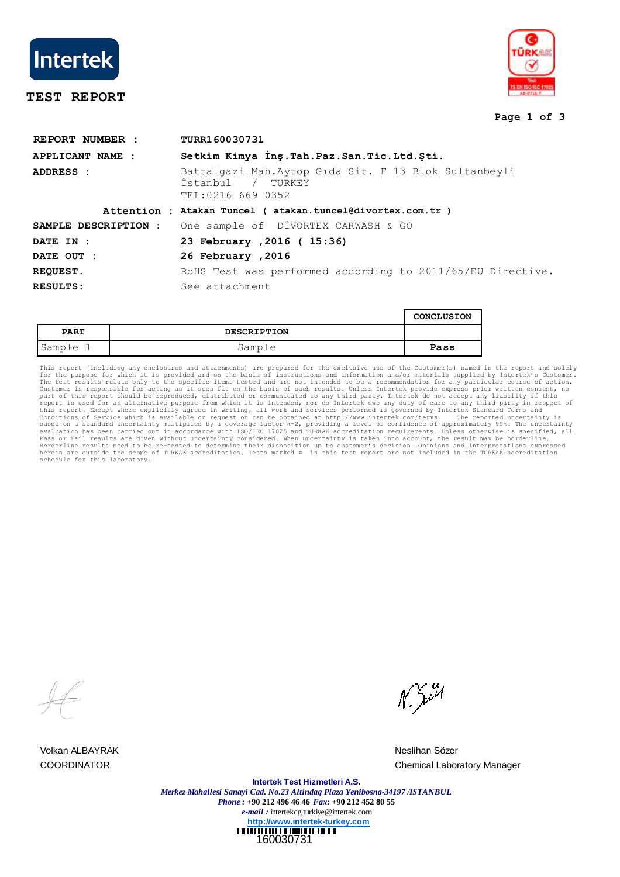

# **TEST REPORT**



### **Page 1 of 3**

| REPORT NUMBER :      | TURR160030731                                                                                     |  |  |  |
|----------------------|---------------------------------------------------------------------------------------------------|--|--|--|
| APPLICANT NAME :     | Setkim Kimya Inş. Tah. Paz. San. Tic. Ltd. Şti.                                                   |  |  |  |
| ADDRESS :            | Battalgazi Mah.Aytop Gida Sit. F 13 Blok Sultanbeyli<br>İstanbul<br>/ TURKEY<br>TEL:0216 669 0352 |  |  |  |
|                      | Attention : Atakan Tuncel ( atakan.tuncel@divortex.com.tr )                                       |  |  |  |
| SAMPLE DESCRIPTION : | One sample of DİVORTEX CARWASH & GO                                                               |  |  |  |
| DATE IN :            | 23 February , 2016 ( 15:36)                                                                       |  |  |  |
| DATE OUT :           | 26 February , 2016                                                                                |  |  |  |
| <b>REQUEST.</b>      | RoHS Test was performed according to 2011/65/EU Directive.                                        |  |  |  |
| RESULTS:             | See attachment                                                                                    |  |  |  |

|             |                    | CONCLUSION |
|-------------|--------------------|------------|
| <b>PART</b> | <b>DESCRIPTION</b> |            |
| Sample 1    | Sample             | Pass       |

This report (including any enclosures and attachments) are prepared for the ecclusive use of the Customer(s) named in the report and solely the extremit on any price of the Customer. The test results relate only to the spe

Volkan ALBAYRAK Neslihan Sözer

N. Juri

COORDINATOR Chemical Laboratory Manager

160030731 **Intertek Test Hizmetleri A.S.** *Merkez Mahallesi Sanayi Cad. No.23 Altindag Plaza Yenibosna-34197 /ISTANBUL Phone : +***90 212 496 46 46** *Fax:* **+90 212 452 80 55** *e-mail :* intertekcg.turkiye@intertek.com **http://www.intertek-turkey.com**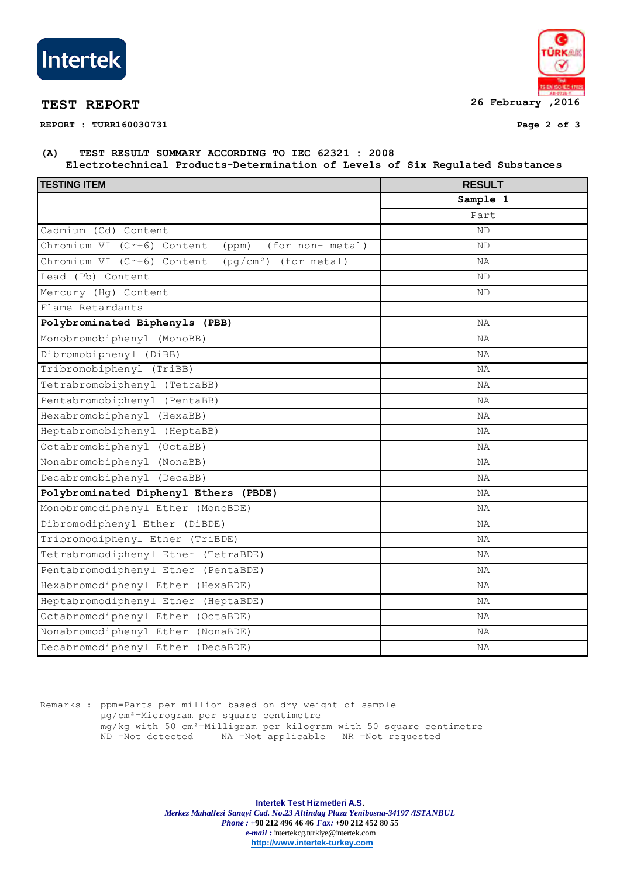

**REPORT : TURR160030731 Page 2 of 3**



## **(A) TEST RESULT SUMMARY ACCORDING TO IEC 62321 : 2008 Electrotechnical Products-Determination of Levels of Six Regulated Substances**

| <b>TESTING ITEM</b>                                      | <b>RESULT</b> |  |
|----------------------------------------------------------|---------------|--|
|                                                          | Sample 1      |  |
|                                                          | Part          |  |
| Cadmium (Cd) Content                                     | ND            |  |
| Chromium VI (Cr+6) Content<br>(for non- metal)<br>(ppm)  | ND            |  |
| Chromium VI (Cr+6) Content<br>$(\mu q/cm^2)$ (for metal) | ΝA            |  |
| Lead (Pb) Content                                        | ΝD            |  |
| Mercury (Hq) Content                                     | ND            |  |
| Flame Retardants                                         |               |  |
| Polybrominated Biphenyls (PBB)                           | ΝA            |  |
| Monobromobiphenyl (MonoBB)                               | ΝA            |  |
| Dibromobiphenyl (DiBB)                                   | ΝA            |  |
| Tribromobiphenyl (TriBB)                                 | ΝA            |  |
| Tetrabromobiphenyl (TetraBB)                             | ΝA            |  |
| Pentabromobiphenyl (PentaBB)                             | ΝA            |  |
| Hexabromobiphenyl (HexaBB)                               | ΝA            |  |
| Heptabromobiphenyl (HeptaBB)                             | NA            |  |
| Octabromobiphenyl (OctaBB)                               | ΝA            |  |
| Nonabromobiphenyl<br>(NonaBB)                            | ΝA            |  |
| Decabromobiphenyl (DecaBB)                               | ΝA            |  |
| Polybrominated Diphenyl Ethers (PBDE)                    | ΝA            |  |
| Monobromodiphenyl Ether (MonoBDE)                        | ΝA            |  |
| Dibromodiphenyl Ether (DiBDE)                            | ΝA            |  |
| Tribromodiphenyl Ether (TriBDE)                          | ΝA            |  |
| Tetrabromodiphenyl Ether (TetraBDE)                      | ΝA            |  |
| Pentabromodiphenyl Ether (PentaBDE)                      | ΝA            |  |
| Hexabromodiphenyl Ether (HexaBDE)                        | ΝA            |  |
| Heptabromodiphenyl Ether<br>(HeptaBDE)                   | ΝA            |  |
| Octabromodiphenyl Ether (OctaBDE)                        | ΝA            |  |
| Nonabromodiphenyl Ether (NonaBDE)                        | NA            |  |
| Decabromodiphenyl Ether (DecaBDE)                        | ΝA            |  |

Remarks : ppm=Parts per million based on dry weight of sample µg/cm²=Microgram per square centimetre mg/kg with 50 cm²=Milligram per kilogram with 50 square centimetre ND =Not detected NA =Not applicable NR =Not requested

> **Intertek Test Hizmetleri A.S.** *Merkez Mahallesi Sanayi Cad. No.23 Altindag Plaza Yenibosna-34197 /ISTANBUL Phone : +***90 212 496 46 46** *Fax:* **+90 212 452 80 55** *e-mail :* intertekcg.turkiye@intertek.com **http://www.intertek-turkey.com**